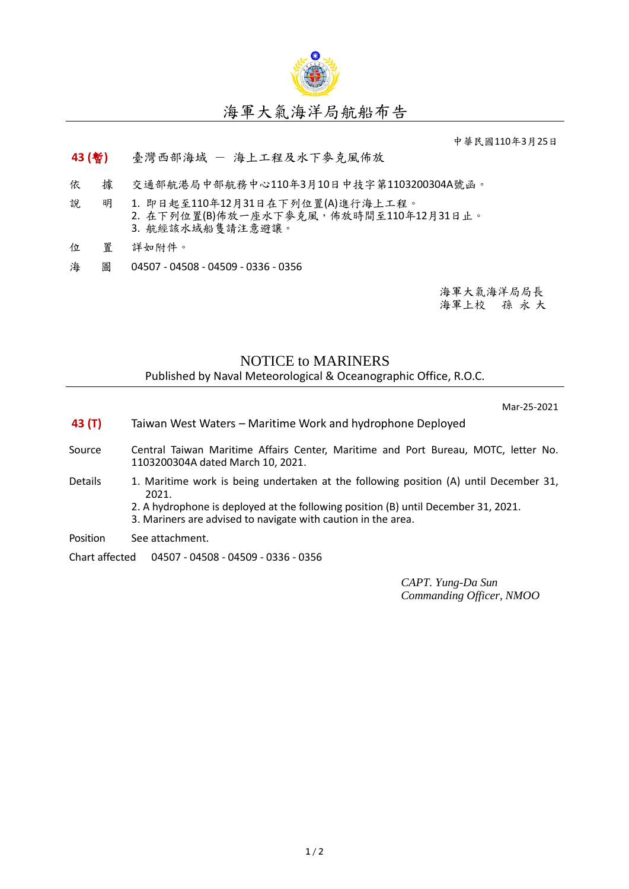

中華民國110年3月25日

## **43 (**暫**)** 臺灣西部海域 - 海上工程及水下麥克風佈放

- 依 據 交通部航港局中部航務中心110年3月10日中技字第1103200304A號函。
- 說 明 1. 即日起至110年12月31日在下列位置(A)進行海上工程。 2. 在下列位置(B)佈放一座水下麥克風,佈放時間至110年12月31日止。 3. 航經該水域船隻請注意避讓。
- 位 置 詳如附件。
- 海 圖 04507 04508 04509 0336 0356

海軍大氣海洋局局長 海軍上校 孫 永 大

## NOTICE to MARINERS

Published by Naval Meteorological & Oceanographic Office, R.O.C.

Mar-25-2021

- **43 (T)** Taiwan West Waters Maritime Work and hydrophone Deployed
- Source Central Taiwan Maritime Affairs Center, Maritime and Port Bureau, MOTC, letter No. 1103200304A dated March 10, 2021.
- Details 1. Maritime work is being undertaken at the following position (A) until December 31, 2021.
	- 2. A hydrophone is deployed at the following position (B) until December 31, 2021.
	- 3. Mariners are advised to navigate with caution in the area.
- Position See attachment.
- Chart affected 04507 04508 04509 0336 0356

*CAPT. Yung-Da Sun Commanding Officer, NMOO*